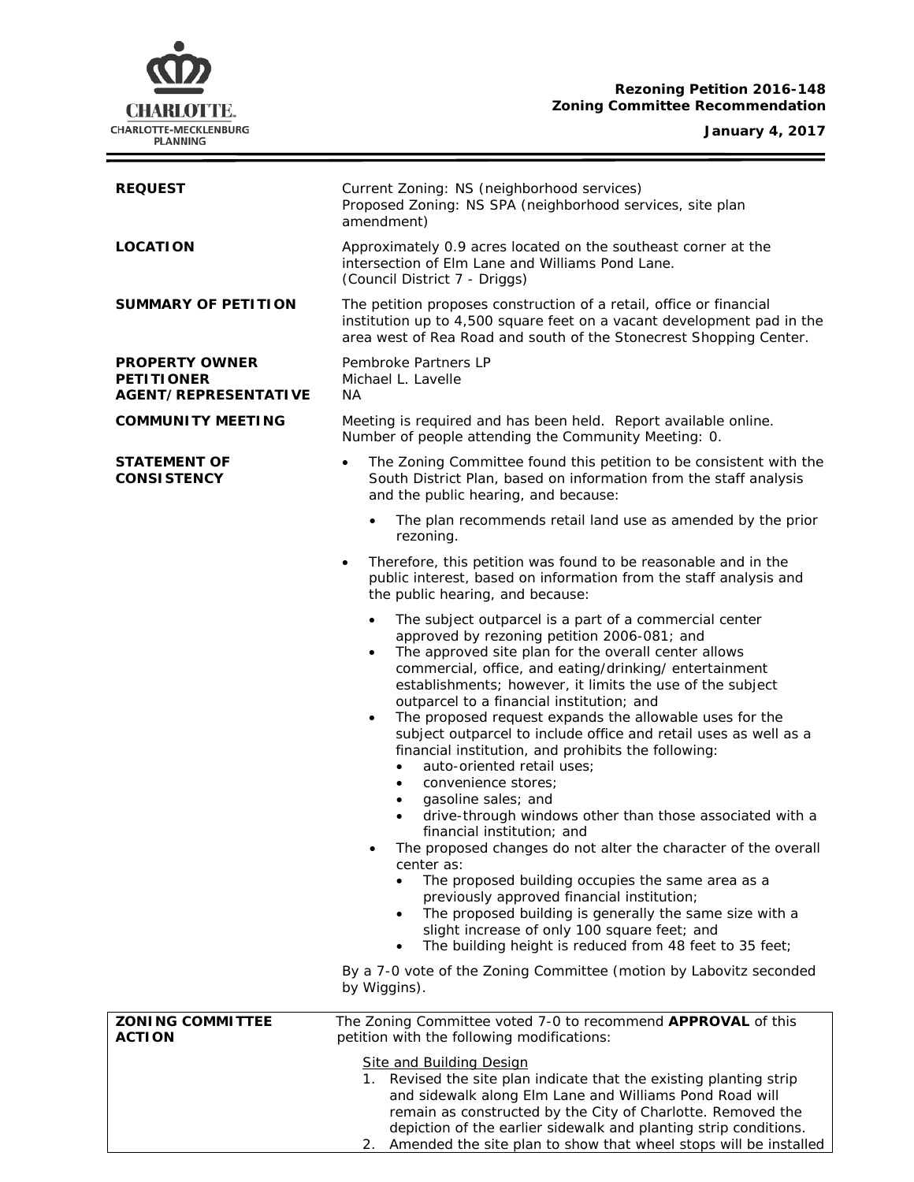## **Rezoning Petition 2016-148 Zoning Committee Recommendation**

#### **January 4, 2017**



| <b>REQUEST</b>                                                            | Current Zoning: NS (neighborhood services)<br>Proposed Zoning: NS SPA (neighborhood services, site plan<br>amendment)                                                                                                                                                                                                                                                                                                                                                                                                                                                                                                                                                                                                                                                                                                                                                                                                                                                                                                                                                                                                                                                                                                  |  |  |
|---------------------------------------------------------------------------|------------------------------------------------------------------------------------------------------------------------------------------------------------------------------------------------------------------------------------------------------------------------------------------------------------------------------------------------------------------------------------------------------------------------------------------------------------------------------------------------------------------------------------------------------------------------------------------------------------------------------------------------------------------------------------------------------------------------------------------------------------------------------------------------------------------------------------------------------------------------------------------------------------------------------------------------------------------------------------------------------------------------------------------------------------------------------------------------------------------------------------------------------------------------------------------------------------------------|--|--|
| <b>LOCATION</b>                                                           | Approximately 0.9 acres located on the southeast corner at the<br>intersection of Elm Lane and Williams Pond Lane.<br>(Council District 7 - Driggs)                                                                                                                                                                                                                                                                                                                                                                                                                                                                                                                                                                                                                                                                                                                                                                                                                                                                                                                                                                                                                                                                    |  |  |
| <b>SUMMARY OF PETITION</b>                                                | The petition proposes construction of a retail, office or financial<br>institution up to 4,500 square feet on a vacant development pad in the<br>area west of Rea Road and south of the Stonecrest Shopping Center.                                                                                                                                                                                                                                                                                                                                                                                                                                                                                                                                                                                                                                                                                                                                                                                                                                                                                                                                                                                                    |  |  |
| <b>PROPERTY OWNER</b><br><b>PETITIONER</b><br><b>AGENT/REPRESENTATIVE</b> | Pembroke Partners LP<br>Michael L. Lavelle<br>NA.                                                                                                                                                                                                                                                                                                                                                                                                                                                                                                                                                                                                                                                                                                                                                                                                                                                                                                                                                                                                                                                                                                                                                                      |  |  |
| <b>COMMUNITY MEETING</b>                                                  | Meeting is required and has been held. Report available online.<br>Number of people attending the Community Meeting: 0.                                                                                                                                                                                                                                                                                                                                                                                                                                                                                                                                                                                                                                                                                                                                                                                                                                                                                                                                                                                                                                                                                                |  |  |
| <b>STATEMENT OF</b><br><b>CONSISTENCY</b>                                 | The Zoning Committee found this petition to be consistent with the<br>South District Plan, based on information from the staff analysis<br>and the public hearing, and because:                                                                                                                                                                                                                                                                                                                                                                                                                                                                                                                                                                                                                                                                                                                                                                                                                                                                                                                                                                                                                                        |  |  |
|                                                                           | The plan recommends retail land use as amended by the prior<br>$\bullet$<br>rezoning.                                                                                                                                                                                                                                                                                                                                                                                                                                                                                                                                                                                                                                                                                                                                                                                                                                                                                                                                                                                                                                                                                                                                  |  |  |
|                                                                           | Therefore, this petition was found to be reasonable and in the<br>$\bullet$<br>public interest, based on information from the staff analysis and<br>the public hearing, and because:                                                                                                                                                                                                                                                                                                                                                                                                                                                                                                                                                                                                                                                                                                                                                                                                                                                                                                                                                                                                                                   |  |  |
|                                                                           | The subject outparcel is a part of a commercial center<br>$\bullet$<br>approved by rezoning petition 2006-081; and<br>The approved site plan for the overall center allows<br>$\bullet$<br>commercial, office, and eating/drinking/entertainment<br>establishments; however, it limits the use of the subject<br>outparcel to a financial institution; and<br>The proposed request expands the allowable uses for the<br>$\bullet$<br>subject outparcel to include office and retail uses as well as a<br>financial institution, and prohibits the following:<br>auto-oriented retail uses;<br>$\bullet$<br>convenience stores;<br>$\bullet$<br>gasoline sales; and<br>$\bullet$<br>drive-through windows other than those associated with a<br>financial institution; and<br>The proposed changes do not alter the character of the overall<br>center as:<br>The proposed building occupies the same area as a<br>previously approved financial institution;<br>The proposed building is generally the same size with a<br>slight increase of only 100 square feet; and<br>The building height is reduced from 48 feet to 35 feet;<br>$\bullet$<br>By a 7-0 vote of the Zoning Committee (motion by Labovitz seconded |  |  |
|                                                                           | by Wiggins).                                                                                                                                                                                                                                                                                                                                                                                                                                                                                                                                                                                                                                                                                                                                                                                                                                                                                                                                                                                                                                                                                                                                                                                                           |  |  |
| <b>ZONING COMMITTEE</b><br><b>ACTION</b>                                  | The Zoning Committee voted 7-0 to recommend APPROVAL of this<br>petition with the following modifications:<br><b>Site and Building Design</b><br>1. Revised the site plan indicate that the existing planting strip<br>and sidewalk along Elm Lane and Williams Pond Road will<br>remain as constructed by the City of Charlotte. Removed the<br>depiction of the earlier sidewalk and planting strip conditions.                                                                                                                                                                                                                                                                                                                                                                                                                                                                                                                                                                                                                                                                                                                                                                                                      |  |  |

2. Amended the site plan to show that wheel stops will be installed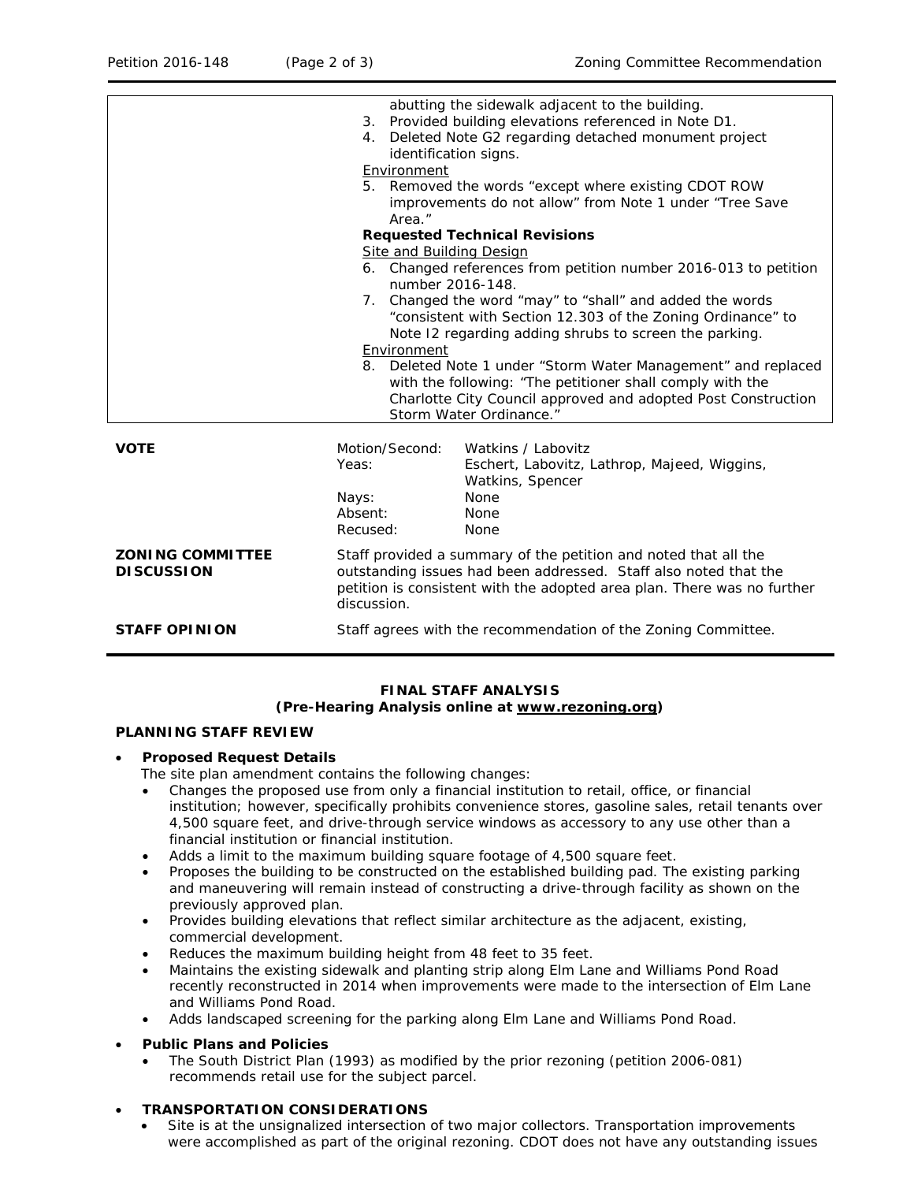|                                              | identification signs.<br>Environment                                                                                                                                                                                                                              | abutting the sidewalk adjacent to the building.<br>3. Provided building elevations referenced in Note D1.<br>4. Deleted Note G2 regarding detached monument project<br>5. Removed the words "except where existing CDOT ROW |  |
|----------------------------------------------|-------------------------------------------------------------------------------------------------------------------------------------------------------------------------------------------------------------------------------------------------------------------|-----------------------------------------------------------------------------------------------------------------------------------------------------------------------------------------------------------------------------|--|
|                                              | Area."                                                                                                                                                                                                                                                            | improvements do not allow" from Note 1 under "Tree Save                                                                                                                                                                     |  |
| <b>Requested Technical Revisions</b>         |                                                                                                                                                                                                                                                                   |                                                                                                                                                                                                                             |  |
|                                              | <b>Site and Building Design</b>                                                                                                                                                                                                                                   |                                                                                                                                                                                                                             |  |
|                                              | 6. Changed references from petition number 2016-013 to petition<br>number 2016-148.                                                                                                                                                                               |                                                                                                                                                                                                                             |  |
|                                              | 7. Changed the word "may" to "shall" and added the words<br>"consistent with Section 12.303 of the Zoning Ordinance" to<br>Note 12 regarding adding shrubs to screen the parking.<br>Environment<br>8. Deleted Note 1 under "Storm Water Management" and replaced |                                                                                                                                                                                                                             |  |
|                                              |                                                                                                                                                                                                                                                                   |                                                                                                                                                                                                                             |  |
|                                              |                                                                                                                                                                                                                                                                   | with the following: "The petitioner shall comply with the<br>Charlotte City Council approved and adopted Post Construction<br>Storm Water Ordinance."                                                                       |  |
| <b>VOTE</b>                                  | Motion/Second:<br>Yeas:                                                                                                                                                                                                                                           | Watkins / Labovitz<br>Eschert, Labovitz, Lathrop, Majeed, Wiggins,<br>Watkins, Spencer                                                                                                                                      |  |
|                                              | Nays:                                                                                                                                                                                                                                                             | None                                                                                                                                                                                                                        |  |
|                                              | Absent:<br>Recused:                                                                                                                                                                                                                                               | None<br>None                                                                                                                                                                                                                |  |
| <b>ZONING COMMITTEE</b><br><b>DISCUSSION</b> | Staff provided a summary of the petition and noted that all the<br>outstanding issues had been addressed. Staff also noted that the<br>petition is consistent with the adopted area plan. There was no further<br>discussion.                                     |                                                                                                                                                                                                                             |  |
| <b>STAFF OPINION</b>                         |                                                                                                                                                                                                                                                                   | Staff agrees with the recommendation of the Zoning Committee.                                                                                                                                                               |  |

# **FINAL STAFF ANALYSIS**

# **(Pre-Hearing Analysis online at [www.rezoning.org\)](http://www.rezoning.org/)**

### **PLANNING STAFF REVIEW**

### • **Proposed Request Details**

The site plan amendment contains the following changes:

- Changes the proposed use from only a financial institution to retail, office, or financial institution; however, specifically prohibits convenience stores, gasoline sales, retail tenants over 4,500 square feet, and drive-through service windows as accessory to any use other than a financial institution or financial institution.
- Adds a limit to the maximum building square footage of 4,500 square feet.
- Proposes the building to be constructed on the established building pad. The existing parking and maneuvering will remain instead of constructing a drive-through facility as shown on the previously approved plan.
- Provides building elevations that reflect similar architecture as the adjacent, existing, commercial development.
- Reduces the maximum building height from 48 feet to 35 feet.
- Maintains the existing sidewalk and planting strip along Elm Lane and Williams Pond Road recently reconstructed in 2014 when improvements were made to the intersection of Elm Lane and Williams Pond Road.
- Adds landscaped screening for the parking along Elm Lane and Williams Pond Road.
- **Public Plans and Policies**
	- The *South District Plan* (1993) as modified by the prior rezoning (petition 2006-081) recommends retail use for the subject parcel.

### • **TRANSPORTATION CONSIDERATIONS**

Site is at the unsignalized intersection of two major collectors. Transportation improvements were accomplished as part of the original rezoning. CDOT does not have any outstanding issues